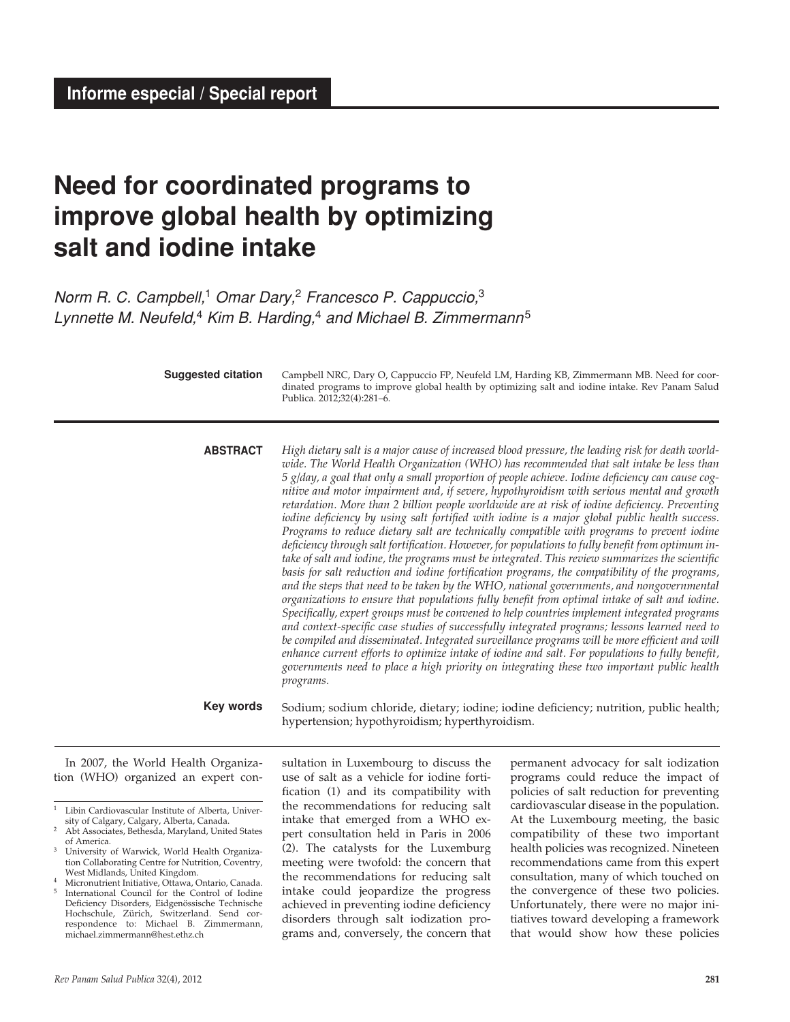# **Need for coordinated programs to improve global health by optimizing salt and iodine intake**

*Norm R. C. Campbell,*1 *Omar Dary,*2 *Francesco P. Cappuccio,*<sup>3</sup> *Lynnette M. Neufeld,*4 *Kim B. Harding,*4 *and Michael B. Zimmermann*<sup>5</sup>

| <b>Suggested citation</b>           | Campbell NRC, Dary O, Cappuccio FP, Neufeld LM, Harding KB, Zimmermann MB. Need for coor-<br>dinated programs to improve global health by optimizing salt and iodine intake. Rev Panam Salud<br>Publica. 2012;32(4):281-6.                                                                                                                                                                                                                                                                                                                                                                                                                                                                                                                                                                                                                                                                                                                                                                                                                                                                                                                                                                                                                                                                                                                                                                                                                                                                                                                                                                                                                                                                                                  |
|-------------------------------------|-----------------------------------------------------------------------------------------------------------------------------------------------------------------------------------------------------------------------------------------------------------------------------------------------------------------------------------------------------------------------------------------------------------------------------------------------------------------------------------------------------------------------------------------------------------------------------------------------------------------------------------------------------------------------------------------------------------------------------------------------------------------------------------------------------------------------------------------------------------------------------------------------------------------------------------------------------------------------------------------------------------------------------------------------------------------------------------------------------------------------------------------------------------------------------------------------------------------------------------------------------------------------------------------------------------------------------------------------------------------------------------------------------------------------------------------------------------------------------------------------------------------------------------------------------------------------------------------------------------------------------------------------------------------------------------------------------------------------------|
| <b>ABSTRACT</b>                     | High dietary salt is a major cause of increased blood pressure, the leading risk for death world-<br>wide. The World Health Organization (WHO) has recommended that salt intake be less than<br>5 g/day, a goal that only a small proportion of people achieve. Iodine deficiency can cause cog-<br>nitive and motor impairment and, if severe, hypothyroidism with serious mental and growth<br>retardation. More than 2 billion people worldwide are at risk of iodine deficiency. Preventing<br>iodine deficiency by using salt fortified with iodine is a major global public health success.<br>Programs to reduce dietary salt are technically compatible with programs to prevent iodine<br>deficiency through salt fortification. However, for populations to fully benefit from optimum in-<br>take of salt and iodine, the programs must be integrated. This review summarizes the scientific<br>basis for salt reduction and iodine fortification programs, the compatibility of the programs,<br>and the steps that need to be taken by the WHO, national governments, and nongovernmental<br>organizations to ensure that populations fully benefit from optimal intake of salt and iodine.<br>Specifically, expert groups must be convened to help countries implement integrated programs<br>and context-specific case studies of successfully integrated programs; lessons learned need to<br>be compiled and disseminated. Integrated surveillance programs will be more efficient and will<br>enhance current efforts to optimize intake of iodine and salt. For populations to fully benefit,<br>governments need to place a high priority on integrating these two important public health<br>programs. |
| Key words                           | Sodium; sodium chloride, dietary; iodine; iodine deficiency; nutrition, public health;<br>hypertension; hypothyroidism; hyperthyroidism.                                                                                                                                                                                                                                                                                                                                                                                                                                                                                                                                                                                                                                                                                                                                                                                                                                                                                                                                                                                                                                                                                                                                                                                                                                                                                                                                                                                                                                                                                                                                                                                    |
| In 2007, the World Health Organiza- | sultation in Luxembourg to discuss the<br>permanent advocacy for salt iodization                                                                                                                                                                                                                                                                                                                                                                                                                                                                                                                                                                                                                                                                                                                                                                                                                                                                                                                                                                                                                                                                                                                                                                                                                                                                                                                                                                                                                                                                                                                                                                                                                                            |

tion (WHO) organized an expert con-

sultation in Luxembourg to discuss the use of salt as a vehicle for iodine fortification (1) and its compatibility with the recommendations for reducing salt intake that emerged from a WHO expert consultation held in Paris in 2006 (2). The catalysts for the Luxemburg meeting were twofold: the concern that the recommendations for reducing salt intake could jeopardize the progress achieved in preventing iodine deficiency disorders through salt iodization programs and, conversely, the concern that

permanent advocacy for salt iodization programs could reduce the impact of policies of salt reduction for preventing cardiovascular disease in the population. At the Luxembourg meeting, the basic compatibility of these two important health policies was recognized. Nineteen recommendations came from this expert consultation, many of which touched on the convergence of these two policies. Unfortunately, there were no major initiatives toward developing a framework that would show how these policies

<sup>1</sup> Libin Cardiovascular Institute of Alberta, University of Calgary, Calgary, Alberta, Canada.

<sup>2</sup> Abt Associates, Bethesda, Maryland, United States of America.

University of Warwick, World Health Organization Collaborating Centre for Nutrition, Coventry, West Midlands, United Kingdom.

Micronutrient Initiative, Ottawa, Ontario, Canada. International Council for the Control of Iodine Deficiency Disorders, Eidgenössische Technische Hochschule, Zürich, Switzerland. Send correspondence to: Michael B. Zimmermann, michael.zimmermann@hest.ethz.ch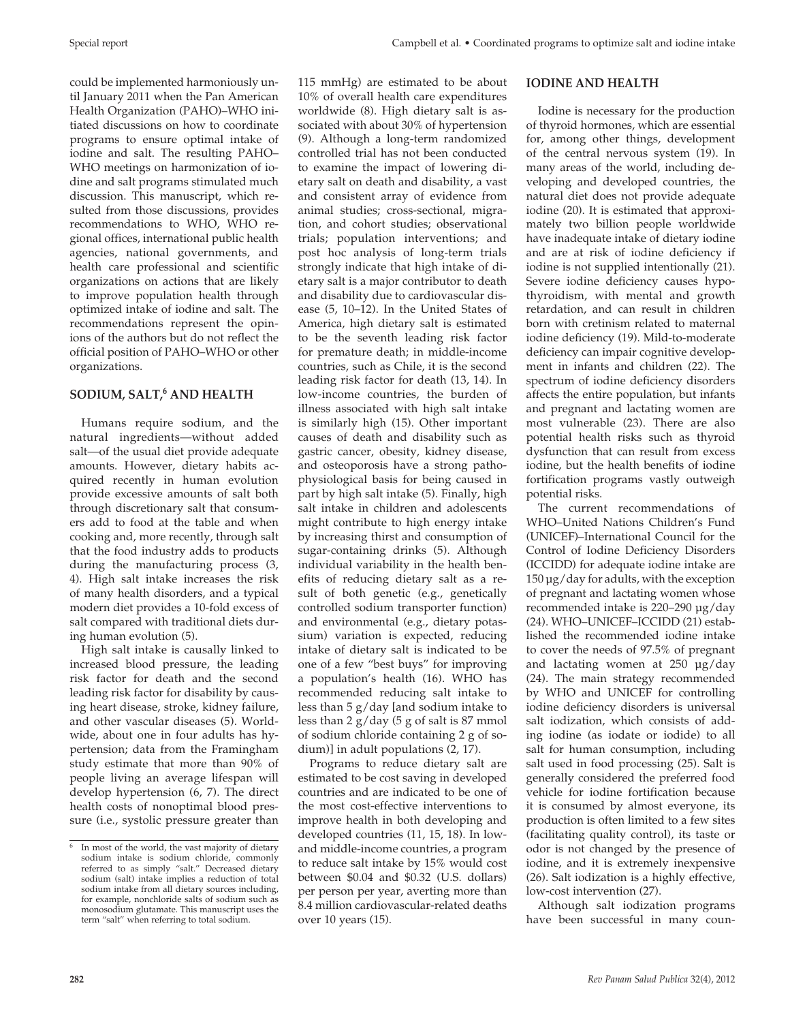could be implemented harmoniously until January 2011 when the Pan American Health Organization (PAHO)–WHO initiated discussions on how to coordinate programs to ensure optimal intake of iodine and salt. The resulting PAHO– WHO meetings on harmonization of iodine and salt programs stimulated much discussion. This manuscript, which resulted from those discussions, provides recommendations to WHO, WHO regional offices, international public health agencies, national governments, and health care professional and scientific organizations on actions that are likely to improve population health through optimized intake of iodine and salt. The recommendations represent the opinions of the authors but do not reflect the official position of PAHO–WHO or other organizations.

## **SODIUM, SALT,6 AND HEALTH**

Humans require sodium, and the natural ingredients—without added salt—of the usual diet provide adequate amounts. However, dietary habits acquired recently in human evolution provide excessive amounts of salt both through discretionary salt that consumers add to food at the table and when cooking and, more recently, through salt that the food industry adds to products during the manufacturing process (3, 4). High salt intake increases the risk of many health disorders, and a typical modern diet provides a 10-fold excess of salt compared with traditional diets during human evolution (5).

High salt intake is causally linked to increased blood pressure, the leading risk factor for death and the second leading risk factor for disability by causing heart disease, stroke, kidney failure, and other vascular diseases (5). Worldwide, about one in four adults has hypertension; data from the Framingham study estimate that more than 90% of people living an average lifespan will develop hypertension (6, 7). The direct health costs of nonoptimal blood pressure (i.e., systolic pressure greater than

115 mmHg) are estimated to be about 10% of overall health care expenditures worldwide (8). High dietary salt is associated with about 30% of hypertension (9). Although a long-term randomized controlled trial has not been conducted to examine the impact of lowering dietary salt on death and disability, a vast and consistent array of evidence from animal studies; cross-sectional, migration, and cohort studies; observational trials; population interventions; and post hoc analysis of long-term trials strongly indicate that high intake of dietary salt is a major contributor to death and disability due to cardiovascular disease (5, 10–12). In the United States of America, high dietary salt is estimated to be the seventh leading risk factor for premature death; in middle-income countries, such as Chile, it is the second leading risk factor for death (13, 14). In low-income countries, the burden of illness associated with high salt intake is similarly high (15). Other important causes of death and disability such as gastric cancer, obesity, kidney disease, and osteoporosis have a strong pathophysiological basis for being caused in part by high salt intake (5). Finally, high salt intake in children and adolescents might contribute to high energy intake by increasing thirst and consumption of sugar-containing drinks (5). Although individual variability in the health benefits of reducing dietary salt as a result of both genetic (e.g., genetically controlled sodium transporter function) and environmental (e.g., dietary potassium) variation is expected, reducing intake of dietary salt is indicated to be one of a few "best buys" for improving a population's health (16). WHO has recommended reducing salt intake to less than 5 g/day [and sodium intake to less than  $2 g/day (5 g of salt is 87 mmol)$ of sodium chloride containing 2 g of sodium)] in adult populations (2, 17).

Programs to reduce dietary salt are estimated to be cost saving in developed countries and are indicated to be one of the most cost-effective interventions to improve health in both developing and developed countries (11, 15, 18). In lowand middle-income countries, a program to reduce salt intake by 15% would cost between \$0.04 and \$0.32 (U.S. dollars) per person per year, averting more than 8.4 million cardiovascular-related deaths over 10 years (15).

#### **IODINE AND HEALTH**

Iodine is necessary for the production of thyroid hormones, which are essential for, among other things, development of the central nervous system (19). In many areas of the world, including developing and developed countries, the natural diet does not provide adequate iodine (20). It is estimated that approximately two billion people worldwide have inadequate intake of dietary iodine and are at risk of iodine deficiency if iodine is not supplied intentionally (21). Severe iodine deficiency causes hypothyroidism, with mental and growth retardation, and can result in children born with cretinism related to maternal iodine deficiency (19). Mild-to-moderate deficiency can impair cognitive development in infants and children (22). The spectrum of iodine deficiency disorders affects the entire population, but infants and pregnant and lactating women are most vulnerable (23). There are also potential health risks such as thyroid dysfunction that can result from excess iodine, but the health benefits of iodine fortification programs vastly outweigh potential risks.

The current recommendations of WHO–United Nations Children's Fund (UNICEF)–International Council for the Control of Iodine Deficiency Disorders (ICCIDD) for adequate iodine intake are 150 µg/day for adults, with the exception of pregnant and lactating women whose recommended intake is 220–290 µg/day (24). WHO–UNICEF–ICCIDD (21) established the recommended iodine intake to cover the needs of 97.5% of pregnant and lactating women at 250 µg/day (24). The main strategy recommended by WHO and UNICEF for controlling iodine deficiency disorders is universal salt iodization, which consists of adding iodine (as iodate or iodide) to all salt for human consumption, including salt used in food processing (25). Salt is generally considered the preferred food vehicle for iodine fortification because it is consumed by almost everyone, its production is often limited to a few sites (facilitating quality control), its taste or odor is not changed by the presence of iodine, and it is extremely inexpensive (26). Salt iodization is a highly effective, low-cost intervention (27).

Although salt iodization programs have been successful in many coun-

<sup>6</sup> In most of the world, the vast majority of dietary sodium intake is sodium chloride, commonly referred to as simply "salt." Decreased dietary sodium (salt) intake implies a reduction of total sodium intake from all dietary sources including, for example, nonchloride salts of sodium such as monosodium glutamate. This manuscript uses the term "salt" when referring to total sodium.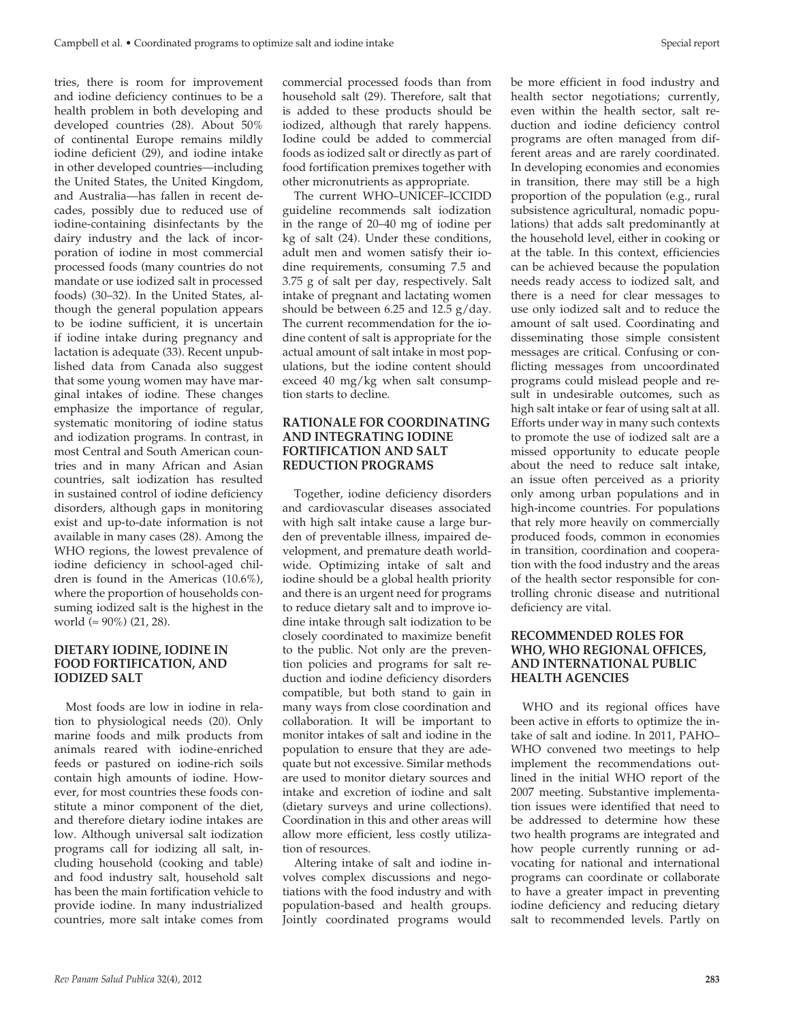tries, there is room for improvement and iodine deficiency continues to be a health problem in both developing and developed countries (28). About 50% of continental Europe remains mildly iodine deficient (29), and iodine intake in other developed countries—including the United States, the United Kingdom, and Australia—has fallen in recent decades, possibly due to reduced use of iodine-containing disinfectants by the dairy industry and the lack of incorporation of iodine in most commercial processed foods (many countries do not mandate or use iodized salt in processed foods) (30–32). In the United States, although the general population appears to be iodine sufficient, it is uncertain if iodine intake during pregnancy and lactation is adequate (33). Recent unpublished data from Canada also suggest that some young women may have marginal intakes of iodine. These changes emphasize the importance of regular, systematic monitoring of iodine status and iodization programs. In contrast, in most Central and South American countries and in many African and Asian countries, salt iodization has resulted in sustained control of iodine deficiency disorders, although gaps in monitoring exist and up-to-date information is not available in many cases (28). Among the WHO regions, the lowest prevalence of iodine deficiency in school-aged children is found in the Americas (10.6%), where the proportion of households consuming iodized salt is the highest in the world (≈ 90%) (21, 28).

#### **DIETARY IODINE, IODINE IN FOOD FORTIFICATION, AND IODIZED SALT**

Most foods are low in iodine in relation to physiological needs (20). Only marine foods and milk products from animals reared with iodine-enriched feeds or pastured on iodine-rich soils contain high amounts of iodine. However, for most countries these foods constitute a minor component of the diet, and therefore dietary iodine intakes are low. Although universal salt iodization programs call for iodizing all salt, including household (cooking and table) and food industry salt, household salt has been the main fortification vehicle to provide iodine. In many industrialized countries, more salt intake comes from

commercial processed foods than from household salt (29). Therefore, salt that is added to these products should be iodized, although that rarely happens. Iodine could be added to commercial foods as iodized salt or directly as part of food fortification premixes together with other micronutrients as appropriate.

The current WHO–UNICEF–ICCIDD guideline recommends salt iodization in the range of 20–40 mg of iodine per kg of salt (24). Under these conditions, adult men and women satisfy their iodine requirements, consuming 7.5 and 3.75 g of salt per day, respectively. Salt intake of pregnant and lactating women should be between 6.25 and 12.5 g/day. The current recommendation for the iodine content of salt is appropriate for the actual amount of salt intake in most populations, but the iodine content should exceed 40 mg/kg when salt consumption starts to decline.

## **RATIONALE FOR COORDINATING AND INTEGRATING IODINE FORTIFICATION AND SALT REDUCTION PROGRAMS**

Together, iodine deficiency disorders and cardiovascular diseases associated with high salt intake cause a large burden of preventable illness, impaired development, and premature death worldwide. Optimizing intake of salt and iodine should be a global health priority and there is an urgent need for programs to reduce dietary salt and to improve iodine intake through salt iodization to be closely coordinated to maximize benefit to the public. Not only are the prevention policies and programs for salt reduction and iodine deficiency disorders compatible, but both stand to gain in many ways from close coordination and collaboration. It will be important to monitor intakes of salt and iodine in the population to ensure that they are adequate but not excessive. Similar methods are used to monitor dietary sources and intake and excretion of iodine and salt (dietary surveys and urine collections). Coordination in this and other areas will allow more efficient, less costly utilization of resources.

Altering intake of salt and iodine involves complex discussions and negotiations with the food industry and with population-based and health groups. Jointly coordinated programs would

be more efficient in food industry and health sector negotiations; currently, even within the health sector, salt reduction and iodine deficiency control programs are often managed from different areas and are rarely coordinated. In developing economies and economies in transition, there may still be a high proportion of the population (e.g., rural subsistence agricultural, nomadic populations) that adds salt predominantly at the household level, either in cooking or at the table. In this context, efficiencies can be achieved because the population needs ready access to iodized salt, and there is a need for clear messages to use only iodized salt and to reduce the amount of salt used. Coordinating and disseminating those simple consistent messages are critical. Confusing or conflicting messages from uncoordinated programs could mislead people and result in undesirable outcomes, such as high salt intake or fear of using salt at all. Efforts under way in many such contexts to promote the use of iodized salt are a missed opportunity to educate people about the need to reduce salt intake, an issue often perceived as a priority only among urban populations and in high-income countries. For populations that rely more heavily on commercially produced foods, common in economies in transition, coordination and cooperation with the food industry and the areas of the health sector responsible for controlling chronic disease and nutritional deficiency are vital.

## **RECOMMENDED ROLES FOR WHO, WHO REGIONAL OFFICES, AND INTERNATIONAL PUBLIC HEALTH AGENCIES**

WHO and its regional offices have been active in efforts to optimize the intake of salt and iodine. In 2011, PAHO– WHO convened two meetings to help implement the recommendations outlined in the initial WHO report of the 2007 meeting. Substantive implementation issues were identified that need to be addressed to determine how these two health programs are integrated and how people currently running or advocating for national and international programs can coordinate or collaborate to have a greater impact in preventing iodine deficiency and reducing dietary salt to recommended levels. Partly on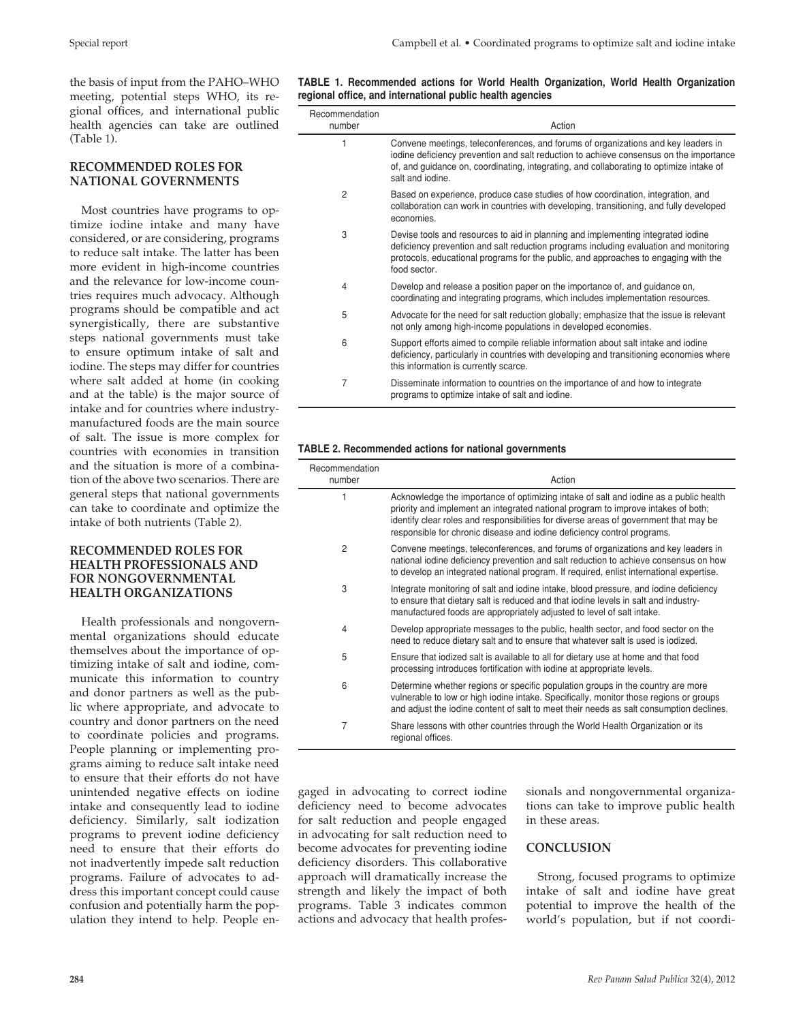the basis of input from the PAHO–WHO meeting, potential steps WHO, its regional offices, and international public health agencies can take are outlined (Table 1).

## **RECOMMENDED ROLES FOR NATIONAL GOVERNMENTS**

Most countries have programs to optimize iodine intake and many have considered, or are considering, programs to reduce salt intake. The latter has been more evident in high-income countries and the relevance for low-income countries requires much advocacy. Although programs should be compatible and act synergistically, there are substantive steps national governments must take to ensure optimum intake of salt and iodine. The steps may differ for countries where salt added at home (in cooking and at the table) is the major source of intake and for countries where industrymanufactured foods are the main source of salt. The issue is more complex for countries with economies in transition and the situation is more of a combination of the above two scenarios. There are general steps that national governments can take to coordinate and optimize the intake of both nutrients (Table 2).

## **RECOMMENDED ROLES FOR HEALTH PROFESSIONALS AND FOR NONGOVERNMENTAL HEALTH ORGANIZATIONS**

Health professionals and nongovernmental organizations should educate themselves about the importance of optimizing intake of salt and iodine, communicate this information to country and donor partners as well as the public where appropriate, and advocate to country and donor partners on the need to coordinate policies and programs. People planning or implementing programs aiming to reduce salt intake need to ensure that their efforts do not have unintended negative effects on iodine intake and consequently lead to iodine deficiency. Similarly, salt iodization programs to prevent iodine deficiency need to ensure that their efforts do not inadvertently impede salt reduction programs. Failure of advocates to address this important concept could cause confusion and potentially harm the population they intend to help. People en-

#### **Table 1. Recommended actions for World Health Organization, World Health Organization regional office, and international public health agencies**

| Recommendation<br>number | Action                                                                                                                                                                                                                                                                                     |
|--------------------------|--------------------------------------------------------------------------------------------------------------------------------------------------------------------------------------------------------------------------------------------------------------------------------------------|
| 1                        | Convene meetings, teleconferences, and forums of organizations and key leaders in<br>iodine deficiency prevention and salt reduction to achieve consensus on the importance<br>of, and guidance on, coordinating, integrating, and collaborating to optimize intake of<br>salt and jodine. |
| 2                        | Based on experience, produce case studies of how coordination, integration, and<br>collaboration can work in countries with developing, transitioning, and fully developed<br>economies.                                                                                                   |
| 3                        | Devise tools and resources to aid in planning and implementing integrated iodine<br>deficiency prevention and salt reduction programs including evaluation and monitoring<br>protocols, educational programs for the public, and approaches to engaging with the<br>food sector.           |
| 4                        | Develop and release a position paper on the importance of, and guidance on,<br>coordinating and integrating programs, which includes implementation resources.                                                                                                                             |
| 5                        | Advocate for the need for salt reduction globally; emphasize that the issue is relevant<br>not only among high-income populations in developed economies.                                                                                                                                  |
| 6                        | Support efforts aimed to compile reliable information about salt intake and iodine<br>deficiency, particularly in countries with developing and transitioning economies where<br>this information is currently scarce.                                                                     |
| 7                        | Disseminate information to countries on the importance of and how to integrate<br>programs to optimize intake of salt and iodine.                                                                                                                                                          |

#### **Table 2. Recommended actions for national governments**

| Recommendation<br>number | Action                                                                                                                                                                                                                                                                                                                                         |
|--------------------------|------------------------------------------------------------------------------------------------------------------------------------------------------------------------------------------------------------------------------------------------------------------------------------------------------------------------------------------------|
|                          | Acknowledge the importance of optimizing intake of salt and iodine as a public health<br>priority and implement an integrated national program to improve intakes of both;<br>identify clear roles and responsibilities for diverse areas of government that may be<br>responsible for chronic disease and iodine deficiency control programs. |
| 2                        | Convene meetings, teleconferences, and forums of organizations and key leaders in<br>national iodine deficiency prevention and salt reduction to achieve consensus on how<br>to develop an integrated national program. If required, enlist international expertise.                                                                           |
| 3                        | Integrate monitoring of salt and iodine intake, blood pressure, and iodine deficiency<br>to ensure that dietary salt is reduced and that iodine levels in salt and industry-<br>manufactured foods are appropriately adjusted to level of salt intake.                                                                                         |
| 4                        | Develop appropriate messages to the public, health sector, and food sector on the<br>need to reduce dietary salt and to ensure that whatever salt is used is iodized.                                                                                                                                                                          |
| 5                        | Ensure that iodized salt is available to all for dietary use at home and that food<br>processing introduces fortification with iodine at appropriate levels.                                                                                                                                                                                   |
| 6                        | Determine whether regions or specific population groups in the country are more<br>vulnerable to low or high iodine intake. Specifically, monitor those regions or groups<br>and adjust the iodine content of salt to meet their needs as salt consumption declines.                                                                           |
| 7                        | Share lessons with other countries through the World Health Organization or its<br>regional offices.                                                                                                                                                                                                                                           |

gaged in advocating to correct iodine deficiency need to become advocates for salt reduction and people engaged in advocating for salt reduction need to become advocates for preventing iodine deficiency disorders. This collaborative approach will dramatically increase the strength and likely the impact of both programs. Table 3 indicates common actions and advocacy that health professionals and nongovernmental organizations can take to improve public health in these areas.

## **CONCLUSION**

Strong, focused programs to optimize intake of salt and iodine have great potential to improve the health of the world's population, but if not coordi-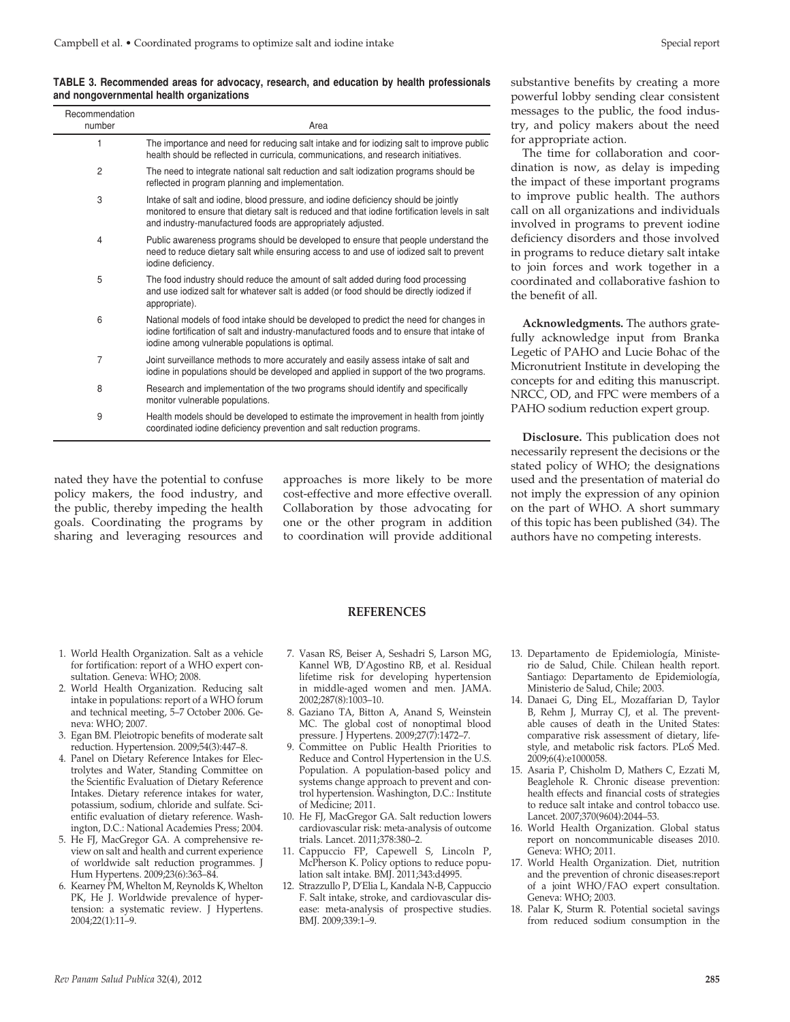**TABLE 3. Recommended areas for advocacy, research, and education by health professionals and nongovernmental health organizations**

| Recommendation<br>number | Area                                                                                                                                                                                                                                               |
|--------------------------|----------------------------------------------------------------------------------------------------------------------------------------------------------------------------------------------------------------------------------------------------|
| 1                        | The importance and need for reducing salt intake and for iodizing salt to improve public<br>health should be reflected in curricula, communications, and research initiatives.                                                                     |
| $\overline{2}$           | The need to integrate national salt reduction and salt iodization programs should be<br>reflected in program planning and implementation.                                                                                                          |
| 3                        | Intake of salt and iodine, blood pressure, and iodine deficiency should be jointly<br>monitored to ensure that dietary salt is reduced and that iodine fortification levels in salt<br>and industry-manufactured foods are appropriately adjusted. |
| 4                        | Public awareness programs should be developed to ensure that people understand the<br>need to reduce dietary salt while ensuring access to and use of iodized salt to prevent<br>iodine deficiency.                                                |
| 5                        | The food industry should reduce the amount of salt added during food processing<br>and use iodized salt for whatever salt is added (or food should be directly iodized if<br>appropriate).                                                         |
| 6                        | National models of food intake should be developed to predict the need for changes in<br>iodine fortification of salt and industry-manufactured foods and to ensure that intake of<br>iodine among vulnerable populations is optimal.              |
| 7                        | Joint surveillance methods to more accurately and easily assess intake of salt and<br>iodine in populations should be developed and applied in support of the two programs.                                                                        |
| 8                        | Research and implementation of the two programs should identify and specifically<br>monitor vulnerable populations.                                                                                                                                |
| 9                        | Health models should be developed to estimate the improvement in health from jointly<br>coordinated iodine deficiency prevention and salt reduction programs.                                                                                      |

nated they have the potential to confuse policy makers, the food industry, and the public, thereby impeding the health goals. Coordinating the programs by sharing and leveraging resources and

approaches is more likely to be more cost-effective and more effective overall. Collaboration by those advocating for one or the other program in addition to coordination will provide additional

substantive benefits by creating a more powerful lobby sending clear consistent messages to the public, the food industry, and policy makers about the need for appropriate action.

The time for collaboration and coordination is now, as delay is impeding the impact of these important programs to improve public health. The authors call on all organizations and individuals involved in programs to prevent iodine deficiency disorders and those involved in programs to reduce dietary salt intake to join forces and work together in a coordinated and collaborative fashion to the benefit of all.

**Acknowledgments.** The authors gratefully acknowledge input from Branka Legetic of PAHO and Lucie Bohac of the Micronutrient Institute in developing the concepts for and editing this manuscript. NRCC, OD, and FPC were members of a PAHO sodium reduction expert group.

**Disclosure.** This publication does not necessarily represent the decisions or the stated policy of WHO; the designations used and the presentation of material do not imply the expression of any opinion on the part of WHO. A short summary of this topic has been published (34). The authors have no competing interests.

#### **REFERENCES**

- 1. World Health Organization. Salt as a vehicle for fortification: report of a WHO expert consultation. Geneva: WHO; 2008.
- 2. World Health Organization. Reducing salt intake in populations: report of a WHO forum and technical meeting, 5–7 October 2006. Geneva: WHO; 2007.
- 3. Egan BM. Pleiotropic benefits of moderate salt reduction. Hypertension. 2009;54(3):447–8.
- 4. Panel on Dietary Reference Intakes for Electrolytes and Water, Standing Committee on the Scientific Evaluation of Dietary Reference Intakes. Dietary reference intakes for water, potassium, sodium, chloride and sulfate. Scientific evaluation of dietary reference. Washington, D.C.: National Academies Press; 2004.
- 5. He FJ, MacGregor GA. A comprehensive review on salt and health and current experience of worldwide salt reduction programmes. J Hum Hypertens. 2009;23(6):363–84.
- 6. Kearney PM, Whelton M, Reynolds K, Whelton PK, He J. Worldwide prevalence of hypertension: a systematic review. J Hypertens. 2004;22(1):11–9.
- 7. Vasan RS, Beiser A, Seshadri S, Larson MG, Kannel WB, D'Agostino RB, et al. Residual lifetime risk for developing hypertension in middle-aged women and men. JAMA. 2002;287(8):1003–10.
- 8. Gaziano TA, Bitton A, Anand S, Weinstein MC. The global cost of nonoptimal blood pressure. J Hypertens. 2009;27(7):1472–7.
- 9. Committee on Public Health Priorities to Reduce and Control Hypertension in the U.S. Population. A population-based policy and systems change approach to prevent and control hypertension. Washington, D.C.: Institute of Medicine; 2011.
- 10. He FJ, MacGregor GA. Salt reduction lowers cardiovascular risk: meta-analysis of outcome trials. Lancet. 2011;378:380–2.
- 11. Cappuccio FP, Capewell S, Lincoln P, McPherson K. Policy options to reduce population salt intake. BMJ. 2011;343:d4995.
- 12. Strazzullo P, D'Elia L, Kandala N-B, Cappuccio F. Salt intake, stroke, and cardiovascular disease: meta-analysis of prospective studies. BMJ. 2009;339:1–9.
- 13. Departamento de Epidemiología, Ministerio de Salud, Chile. Chilean health report. Santiago: Departamento de Epidemiología, Ministerio de Salud, Chile; 2003.
- 14. Danaei G, Ding EL, Mozaffarian D, Taylor B, Rehm J, Murray CJ, et al. The preventable causes of death in the United States: comparative risk assessment of dietary, lifestyle, and metabolic risk factors. PLoS Med. 2009;6(4):e1000058.
- 15. Asaria P, Chisholm D, Mathers C, Ezzati M, Beaglehole R. Chronic disease prevention: health effects and financial costs of strategies to reduce salt intake and control tobacco use. Lancet. 2007;370(9604):2044–53.
- 16. World Health Organization. Global status report on noncommunicable diseases 2010. Geneva: WHO; 2011.
- 17. World Health Organization. Diet, nutrition and the prevention of chronic diseases:report of a joint WHO/FAO expert consultation. Geneva: WHO; 2003.
- 18. Palar K, Sturm R. Potential societal savings from reduced sodium consumption in the